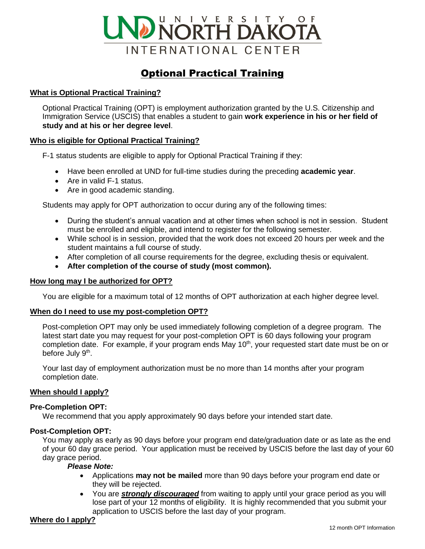

# Optional Practical Training

# **What is Optional Practical Training?**

Optional Practical Training (OPT) is employment authorization granted by the U.S. Citizenship and Immigration Service (USCIS) that enables a student to gain **work experience in his or her field of study and at his or her degree level**.

# **Who is eligible for Optional Practical Training?**

F-1 status students are eligible to apply for Optional Practical Training if they:

- Have been enrolled at UND for full-time studies during the preceding **academic year**.
- Are in valid F-1 status.
- Are in good academic standing.

Students may apply for OPT authorization to occur during any of the following times:

- During the student's annual vacation and at other times when school is not in session. Student must be enrolled and eligible, and intend to register for the following semester.
- While school is in session, provided that the work does not exceed 20 hours per week and the student maintains a full course of study.
- After completion of all course requirements for the degree, excluding thesis or equivalent.
- **After completion of the course of study (most common).**

#### **How long may I be authorized for OPT?**

You are eligible for a maximum total of 12 months of OPT authorization at each higher degree level.

#### **When do I need to use my post-completion OPT?**

Post-completion OPT may only be used immediately following completion of a degree program. The latest start date you may request for your post-completion OPT is 60 days following your program completion date. For example, if your program ends May 10<sup>th</sup>, your requested start date must be on or before July 9<sup>th</sup>.

Your last day of employment authorization must be no more than 14 months after your program completion date.

#### **When should I apply?**

#### **Pre-Completion OPT:**

We recommend that you apply approximately 90 days before your intended start date.

#### **Post-Completion OPT:**

You may apply as early as 90 days before your program end date/graduation date or as late as the end of your 60 day grace period. Your application must be received by USCIS before the last day of your 60 day grace period.

## *Please Note:*

- Applications **may not be mailed** more than 90 days before your program end date or they will be rejected.
- You are *strongly discouraged* from waiting to apply until your grace period as you will lose part of your 12 months of eligibility. It is highly recommended that you submit your application to USCIS before the last day of your program.

#### **Where do I apply?**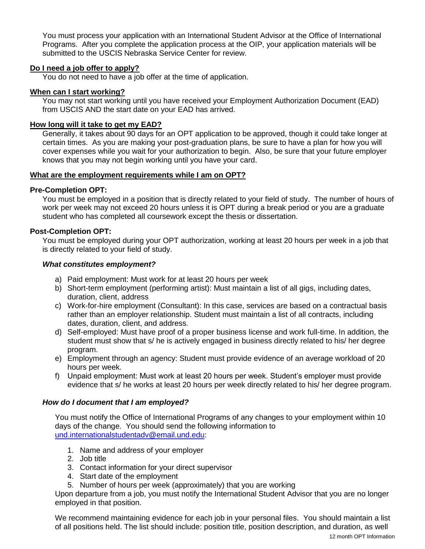You must process your application with an International Student Advisor at the Office of International Programs. After you complete the application process at the OIP, your application materials will be submitted to the USCIS Nebraska Service Center for review.

# **Do I need a job offer to apply?**

You do not need to have a job offer at the time of application.

## **When can I start working?**

You may not start working until you have received your Employment Authorization Document (EAD) from USCIS AND the start date on your EAD has arrived.

## **How long will it take to get my EAD?**

Generally, it takes about 90 days for an OPT application to be approved, though it could take longer at certain times. As you are making your post-graduation plans, be sure to have a plan for how you will cover expenses while you wait for your authorization to begin. Also, be sure that your future employer knows that you may not begin working until you have your card.

#### **What are the employment requirements while I am on OPT?**

## **Pre-Completion OPT:**

You must be employed in a position that is directly related to your field of study. The number of hours of work per week may not exceed 20 hours unless it is OPT during a break period or you are a graduate student who has completed all coursework except the thesis or dissertation.

## **Post-Completion OPT:**

You must be employed during your OPT authorization, working at least 20 hours per week in a job that is directly related to your field of study.

## *What constitutes employment?*

- a) Paid employment: Must work for at least 20 hours per week
- b) Short-term employment (performing artist): Must maintain a list of all gigs, including dates, duration, client, address
- c) Work-for-hire employment (Consultant): In this case, services are based on a contractual basis rather than an employer relationship. Student must maintain a list of all contracts, including dates, duration, client, and address.
- d) Self-employed: Must have proof of a proper business license and work full-time. In addition, the student must show that s/ he is actively engaged in business directly related to his/ her degree program.
- e) Employment through an agency: Student must provide evidence of an average workload of 20 hours per week.
- f) Unpaid employment: Must work at least 20 hours per week. Student's employer must provide evidence that s/ he works at least 20 hours per week directly related to his/ her degree program.

# *How do I document that I am employed?*

You must notify the Office of International Programs of any changes to your employment within 10 days of the change. You should send the following information to [und.internationalstudentadv@email.und.edu:](mailto:und.internationalstudentadv@email.und.edu)

- 1. Name and address of your employer
- 2. Job title
- 3. Contact information for your direct supervisor
- 4. Start date of the employment
- 5. Number of hours per week (approximately) that you are working

Upon departure from a job, you must notify the International Student Advisor that you are no longer employed in that position.

We recommend maintaining evidence for each job in your personal files. You should maintain a list of all positions held. The list should include: position title, position description, and duration, as well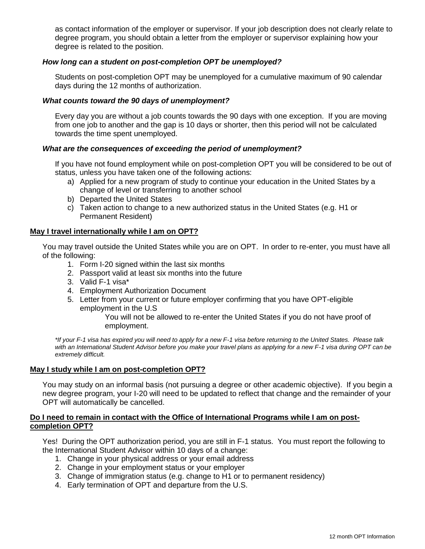as contact information of the employer or supervisor. If your job description does not clearly relate to degree program, you should obtain a letter from the employer or supervisor explaining how your degree is related to the position.

## *How long can a student on post-completion OPT be unemployed?*

Students on post-completion OPT may be unemployed for a cumulative maximum of 90 calendar days during the 12 months of authorization.

## *What counts toward the 90 days of unemployment?*

Every day you are without a job counts towards the 90 days with one exception. If you are moving from one job to another and the gap is 10 days or shorter, then this period will not be calculated towards the time spent unemployed.

## *What are the consequences of exceeding the period of unemployment?*

If you have not found employment while on post-completion OPT you will be considered to be out of status, unless you have taken one of the following actions:

- a) Applied for a new program of study to continue your education in the United States by a change of level or transferring to another school
- b) Departed the United States
- c) Taken action to change to a new authorized status in the United States (e.g. H1 or Permanent Resident)

#### **May I travel internationally while I am on OPT?**

You may travel outside the United States while you are on OPT. In order to re-enter, you must have all of the following:

- 1. Form I-20 signed within the last six months
- 2. Passport valid at least six months into the future
- 3. Valid F-1 visa\*
- 4. Employment Authorization Document
- 5. Letter from your current or future employer confirming that you have OPT-eligible employment in the U.S

You will not be allowed to re-enter the United States if you do not have proof of employment.

*\*If your F-1 visa has expired you will need to apply for a new F-1 visa before returning to the United States. Please talk*  with an International Student Advisor before you make your travel plans as applying for a new F-1 visa during OPT can be *extremely difficult.*

#### **May I study while I am on post-completion OPT?**

You may study on an informal basis (not pursuing a degree or other academic objective). If you begin a new degree program, your I-20 will need to be updated to reflect that change and the remainder of your OPT will automatically be cancelled.

#### **Do I need to remain in contact with the Office of International Programs while I am on postcompletion OPT?**

Yes! During the OPT authorization period, you are still in F-1 status. You must report the following to the International Student Advisor within 10 days of a change:

- 1. Change in your physical address or your email address
- 2. Change in your employment status or your employer
- 3. Change of immigration status (e.g. change to H1 or to permanent residency)
- 4. Early termination of OPT and departure from the U.S.